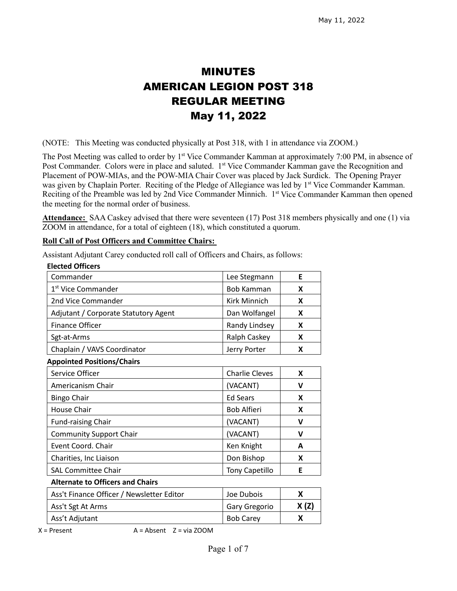# MINUTES AMERICAN LEGION POST 318 REGULAR MEETING May 11, 2022

(NOTE: This Meeting was conducted physically at Post 318, with 1 in attendance via ZOOM.)

The Post Meeting was called to order by 1<sup>st</sup> Vice Commander Kamman at approximately 7:00 PM, in absence of Post Commander. Colors were in place and saluted. 1<sup>st</sup> Vice Commander Kamman gave the Recognition and Placement of POW-MIAs, and the POW-MIA Chair Cover was placed by Jack Surdick. The Opening Prayer was given by Chaplain Porter. Reciting of the Pledge of Allegiance was led by 1<sup>st</sup> Vice Commander Kamman. Reciting of the Preamble was led by 2nd Vice Commander Minnich. 1<sup>st</sup> Vice Commander Kamman then opened the meeting for the normal order of business.

**Attendance:** SAA Caskey advised that there were seventeen (17) Post 318 members physically and one (1) via ZOOM in attendance, for a total of eighteen (18), which constituted a quorum.

## **Roll Call of Post Officers and Committee Chairs:**

**Elected Officers**

Assistant Adjutant Carey conducted roll call of Officers and Chairs, as follows:

| נוכנוכט טווונכופ                          |                       |             |
|-------------------------------------------|-----------------------|-------------|
| Commander                                 | Lee Stegmann          | E           |
| 1 <sup>st</sup> Vice Commander            | <b>Bob Kamman</b>     | X           |
| 2nd Vice Commander                        | Kirk Minnich          | X           |
| Adjutant / Corporate Statutory Agent      | Dan Wolfangel         | X           |
| <b>Finance Officer</b>                    | Randy Lindsey         | X           |
| Sgt-at-Arms                               | Ralph Caskey          | X           |
| Chaplain / VAVS Coordinator               | Jerry Porter          | X           |
| <b>Appointed Positions/Chairs</b>         |                       |             |
| Service Officer                           | <b>Charlie Cleves</b> | X           |
| Americanism Chair                         | (VACANT)              | V           |
| <b>Bingo Chair</b>                        | <b>Ed Sears</b>       | X           |
| <b>House Chair</b>                        | <b>Bob Alfieri</b>    | X           |
| <b>Fund-raising Chair</b>                 | (VACANT)              | $\mathbf v$ |
| <b>Community Support Chair</b>            | (VACANT)              | v           |
| Event Coord. Chair                        | Ken Knight            | A           |
| Charities, Inc Liaison                    | Don Bishop            | X           |
| <b>SAL Committee Chair</b>                | <b>Tony Capetillo</b> | E           |
| <b>Alternate to Officers and Chairs</b>   |                       |             |
| Ass't Finance Officer / Newsletter Editor | Joe Dubois            | X           |
| Ass't Sgt At Arms                         | Gary Gregorio         | X (Z)       |
| Ass't Adjutant                            | <b>Bob Carey</b>      | X           |

 $X =$  Present  $A =$  Absent  $Z =$  via ZOOM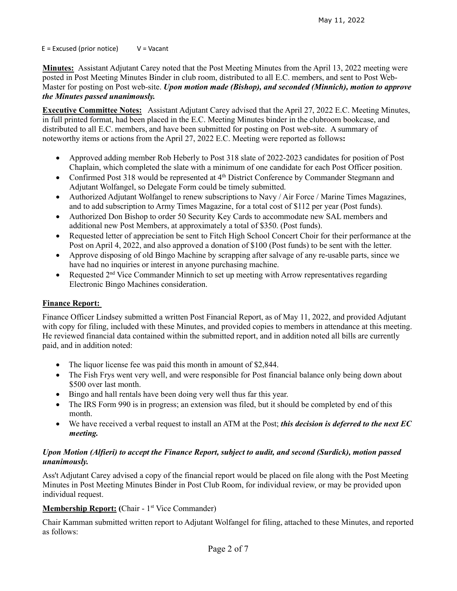$E = Excused (prior notice)$   $V = Vacant$ 

**Minutes:** Assistant Adjutant Carey noted that the Post Meeting Minutes from the April 13, 2022 meeting were posted in Post Meeting Minutes Binder in club room, distributed to all E.C. members, and sent to Post Web-Master for posting on Post web-site. *Upon motion made (Bishop), and seconded (Minnich), motion to approve the Minutes passed unanimously.* 

**Executive Committee Notes:** Assistant Adjutant Carey advised that the April 27, 2022 E.C. Meeting Minutes, in full printed format, had been placed in the E.C. Meeting Minutes binder in the clubroom bookcase, and distributed to all E.C. members, and have been submitted for posting on Post web-site. A summary of noteworthy items or actions from the April 27, 2022 E.C. Meeting were reported as follows**:**

- Approved adding member Rob Heberly to Post 318 slate of 2022-2023 candidates for position of Post Chaplain, which completed the slate with a minimum of one candidate for each Post Officer position.
- Confirmed Post 318 would be represented at 4<sup>th</sup> District Conference by Commander Stegmann and Adjutant Wolfangel, so Delegate Form could be timely submitted.
- Authorized Adjutant Wolfangel to renew subscriptions to Navy / Air Force / Marine Times Magazines, and to add subscription to Army Times Magazine, for a total cost of \$112 per year (Post funds).
- Authorized Don Bishop to order 50 Security Key Cards to accommodate new SAL members and additional new Post Members, at approximately a total of \$350. (Post funds).
- Requested letter of appreciation be sent to Fitch High School Concert Choir for their performance at the Post on April 4, 2022, and also approved a donation of \$100 (Post funds) to be sent with the letter.
- Approve disposing of old Bingo Machine by scrapping after salvage of any re-usable parts, since we have had no inquiries or interest in anyone purchasing machine.
- Requested  $2<sup>nd</sup>$  Vice Commander Minnich to set up meeting with Arrow representatives regarding Electronic Bingo Machines consideration.

# **Finance Report:**

Finance Officer Lindsey submitted a written Post Financial Report, as of May 11, 2022, and provided Adjutant with copy for filing, included with these Minutes, and provided copies to members in attendance at this meeting. He reviewed financial data contained within the submitted report, and in addition noted all bills are currently paid, and in addition noted:

- The liquor license fee was paid this month in amount of \$2,844.
- The Fish Frys went very well, and were responsible for Post financial balance only being down about \$500 over last month.
- Bingo and hall rentals have been doing very well thus far this year.
- The IRS Form 990 is in progress; an extension was filed, but it should be completed by end of this month.
- We have received a verbal request to install an ATM at the Post; *this decision is deferred to the next EC meeting.*

# *Upon Motion (Alfieri) to accept the Finance Report, subject to audit, and second (Surdick), motion passed unanimously.*

Ass't Adjutant Carey advised a copy of the financial report would be placed on file along with the Post Meeting Minutes in Post Meeting Minutes Binder in Post Club Room, for individual review, or may be provided upon individual request.

# **Membership Report:** (Chair - 1<sup>st</sup> Vice Commander)

Chair Kamman submitted written report to Adjutant Wolfangel for filing, attached to these Minutes, and reported as follows: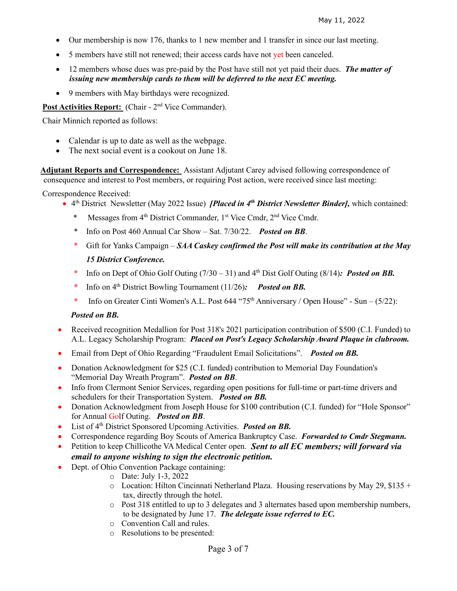- Our membership is now 176, thanks to 1 new member and 1 transfer in since our last meeting.
- 5 members have still not renewed; their access cards have not yet been canceled.
- 12 members whose dues was pre-paid by the Post have still not yet paid their dues. *The matter of issuing new membership cards to them will be deferred to the next EC meeting.*
- 9 members with May birthdays were recognized.

Post Activities Report: (Chair - 2<sup>nd</sup> Vice Commander).

Chair Minnich reported as follows:

- Calendar is up to date as well as the webpage.
- The next social event is a cookout on June 18.

 **Adjutant Reports and Correspondence:** Assistant Adjutant Carey advised following correspondence of consequence and interest to Post members, or requiring Post action, were received since last meeting:

Correspondence Received:

- 4th District Newsletter (May 2022 Issue) *[Placed in 4th District Newsletter Binder],* which contained:
	- Messages from 4<sup>th</sup> District Commander, 1<sup>st</sup> Vice Cmdr, 2<sup>nd</sup> Vice Cmdr.
	- \* Info on Post 460 Annual Car Show Sat. 7/30/22. *Posted on BB*.
	- \* Gift for Yanks Campaign *SAA Caskey confirmed the Post will make its contribution at the May 15 District Conference.*
	- \* Info on Dept of Ohio Golf Outing  $(7/30 31)$  and  $4<sup>th</sup>$  Dist Golf Outing (8/14): Posted on BB.
	- \* Info on 4th District Bowling Tournament (11/26)*: Posted on BB.*
	- \* Info on Greater Cinti Women's A.L. Post  $644$  " $75<sup>th</sup>$  Anniversary / Open House" Sun  $(5/22)$ :

## *Posted on BB.*

- Received recognition Medallion for Post 318's 2021 participation contribution of \$500 (C.I. Funded) to A.L. Legacy Scholarship Program: *Placed on Post's Legacy Scholarship Award Plaque in clubroom.*
- Email from Dept of Ohio Regarding "Fraudulent Email Solicitations". *Posted on BB.*
- Donation Acknowledgment for \$25 (C.I. funded) contribution to Memorial Day Foundation's "Memorial Day Wreath Program". *Posted on BB*.
- Info from Clermont Senior Services, regarding open positions for full-time or part-time drivers and schedulers for their Transportation System. *Posted on BB.*
- Donation Acknowledgment from Joseph House for \$100 contribution (C.I. funded) for "Hole Sponsor" for Annual Golf Outing. *Posted on BB*.
- List of 4<sup>th</sup> District Sponsored Upcoming Activities. *Posted on BB*.
- Correspondence regarding Boy Scouts of America Bankruptcy Case. *Forwarded to Cmdr Stegmann.*
- Petition to keep Chillicothe VA Medical Center open. *Sent to all EC members; will forward via email to anyone wishing to sign the electronic petition.*
- Dept. of Ohio Convention Package containing:
	- o Date: July 1-3, 2022
	- $\circ$  Location: Hilton Cincinnati Netherland Plaza. Housing reservations by May 29, \$135 + tax, directly through the hotel.
	- o Post 318 entitled to up to 3 delegates and 3 alternates based upon membership numbers, to be designated by June 17. *The delegate issue referred to EC.*
	- o Convention Call and rules.
	- o Resolutions to be presented: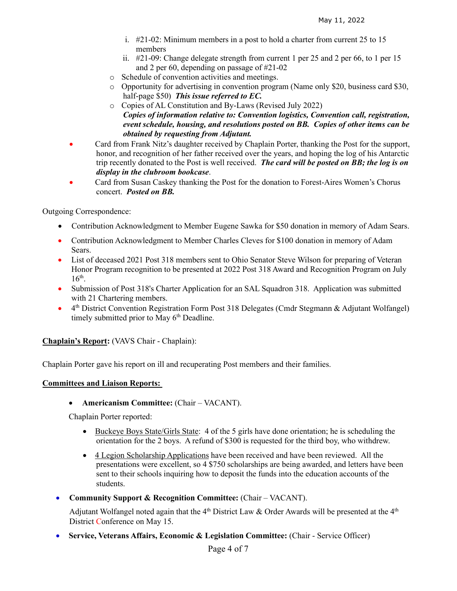- i. #21-02: Minimum members in a post to hold a charter from current 25 to 15 members
- ii. #21-09: Change delegate strength from current 1 per 25 and 2 per 66, to 1 per 15 and 2 per 60, depending on passage of #21-02
- o Schedule of convention activities and meetings.
- o Opportunity for advertising in convention program (Name only \$20, business card \$30, half-page \$50) *This issue referred to EC.*
- o Copies of AL Constitution and By-Laws (Revised July 2022) *Copies of information relative to: Convention logistics, Convention call, registration, event schedule, housing, and resolutions posted on BB. Copies of other items can be obtained by requesting from Adjutant.*
- Card from Frank Nitz's daughter received by Chaplain Porter, thanking the Post for the support, honor, and recognition of her father received over the years, and hoping the log of his Antarctic trip recently donated to the Post is well received. *The card will be posted on BB; the log is on display in the clubroom bookcase*.
- Card from Susan Caskey thanking the Post for the donation to Forest-Aires Women's Chorus concert. *Posted on BB.*

Outgoing Correspondence:

- Contribution Acknowledgment to Member Eugene Sawka for \$50 donation in memory of Adam Sears.
- Contribution Acknowledgment to Member Charles Cleves for \$100 donation in memory of Adam Sears.
- List of deceased 2021 Post 318 members sent to Ohio Senator Steve Wilson for preparing of Veteran Honor Program recognition to be presented at 2022 Post 318 Award and Recognition Program on July  $16<sup>th</sup>$ .
- Submission of Post 318's Charter Application for an SAL Squadron 318. Application was submitted with 21 Chartering members.
- 4th District Convention Registration Form Post 318 Delegates (Cmdr Stegmann & Adjutant Wolfangel) timely submitted prior to May  $6<sup>th</sup>$  Deadline.

**Chaplain's Report:** (VAVS Chair - Chaplain):

Chaplain Porter gave his report on ill and recuperating Post members and their families.

## **Committees and Liaison Reports:**

• **Americanism Committee:** (Chair – VACANT).

Chaplain Porter reported:

- Buckeye Boys State/Girls State: 4 of the 5 girls have done orientation; he is scheduling the orientation for the 2 boys. A refund of \$300 is requested for the third boy, who withdrew.
- 4 Legion Scholarship Applications have been received and have been reviewed. All the presentations were excellent, so 4 \$750 scholarships are being awarded, and letters have been sent to their schools inquiring how to deposit the funds into the education accounts of the students.
- **Community Support & Recognition Committee:** (Chair VACANT).

Adjutant Wolfangel noted again that the  $4<sup>th</sup>$  District Law & Order Awards will be presented at the  $4<sup>th</sup>$ District Conference on May 15.

• **Service, Veterans Affairs, Economic & Legislation Committee:** (Chair - Service Officer)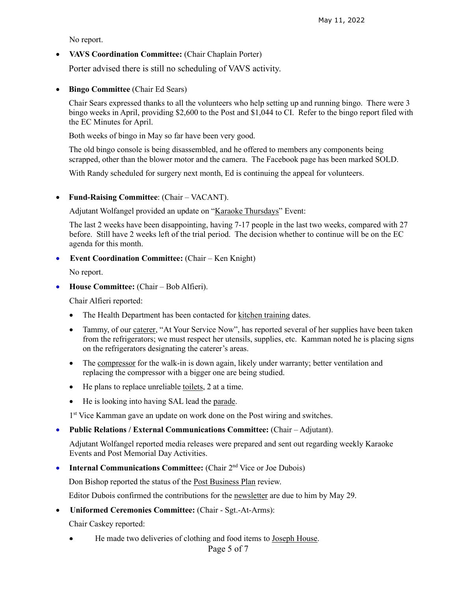No report.

• **VAVS Coordination Committee:** (Chair Chaplain Porter)

Porter advised there is still no scheduling of VAVS activity.

• **Bingo Committee** (Chair Ed Sears)

Chair Sears expressed thanks to all the volunteers who help setting up and running bingo. There were 3 bingo weeks in April, providing \$2,600 to the Post and \$1,044 to CI. Refer to the bingo report filed with the EC Minutes for April.

Both weeks of bingo in May so far have been very good.

The old bingo console is being disassembled, and he offered to members any components being scrapped, other than the blower motor and the camera. The Facebook page has been marked SOLD.

With Randy scheduled for surgery next month, Ed is continuing the appeal for volunteers.

## • **Fund-Raising Committee**: (Chair – VACANT).

Adjutant Wolfangel provided an update on "Karaoke Thursdays" Event:

The last 2 weeks have been disappointing, having 7-17 people in the last two weeks, compared with 27 before. Still have 2 weeks left of the trial period. The decision whether to continue will be on the EC agenda for this month.

## • **Event Coordination Committee:** (Chair – Ken Knight)

No report.

• **House Committee:** (Chair – Bob Alfieri).

Chair Alfieri reported:

- The Health Department has been contacted for kitchen training dates.
- Tammy, of our caterer, "At Your Service Now", has reported several of her supplies have been taken from the refrigerators; we must respect her utensils, supplies, etc. Kamman noted he is placing signs on the refrigerators designating the caterer's areas.
- The compressor for the walk-in is down again, likely under warranty; better ventilation and replacing the compressor with a bigger one are being studied.
- He plans to replace unreliable toilets, 2 at a time.
- He is looking into having SAL lead the parade.

1<sup>st</sup> Vice Kamman gave an update on work done on the Post wiring and switches.

• **Public Relations / External Communications Committee:** (Chair – Adjutant).

Adjutant Wolfangel reported media releases were prepared and sent out regarding weekly Karaoke Events and Post Memorial Day Activities.

• **Internal Communications Committee:** (Chair 2<sup>nd</sup> Vice or Joe Dubois)

Don Bishop reported the status of the Post Business Plan review.

Editor Dubois confirmed the contributions for the newsletter are due to him by May 29.

• **Uniformed Ceremonies Committee:** (Chair - Sgt.-At-Arms):

Chair Caskey reported:

He made two deliveries of clothing and food items to Joseph House.

Page 5 of 7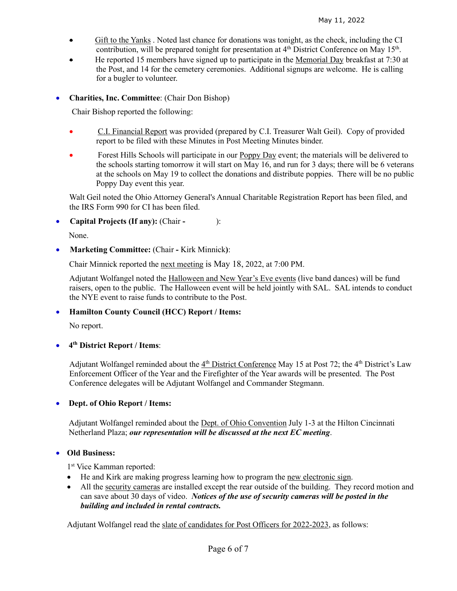- Gift to the Yanks . Noted last chance for donations was tonight, as the check, including the CI contribution, will be prepared tonight for presentation at 4<sup>th</sup> District Conference on May 15<sup>th</sup>.
- He reported 15 members have signed up to participate in the Memorial Day breakfast at 7:30 at the Post, and 14 for the cemetery ceremonies. Additional signups are welcome. He is calling for a bugler to volunteer.

• **Charities, Inc. Committee**: (Chair Don Bishop)

Chair Bishop reported the following:

- C.I. Financial Report was provided (prepared by C.I. Treasurer Walt Geil). Copy of provided report to be filed with these Minutes in Post Meeting Minutes binder.
- Forest Hills Schools will participate in our Poppy Day event; the materials will be delivered to the schools starting tomorrow it will start on May 16, and run for 3 days; there will be 6 veterans at the schools on May 19 to collect the donations and distribute poppies. There will be no public Poppy Day event this year.

Walt Geil noted the Ohio Attorney General's Annual Charitable Registration Report has been filed, and the IRS Form 990 for CI has been filed.

• **Capital Projects (If any):** (Chair **-** ):

None.

• **Marketing Committee:** (Chair **-** Kirk Minnick**)**:

Chair Minnick reported the next meeting is May 18, 2022, at 7:00 PM.

Adjutant Wolfangel noted the Halloween and New Year's Eve events (live band dances) will be fund raisers, open to the public. The Halloween event will be held jointly with SAL. SAL intends to conduct the NYE event to raise funds to contribute to the Post.

# • **Hamilton County Council (HCC) Report / Items:**

No report.

# • **4th District Report / Items**:

Adjutant Wolfangel reminded about the 4<sup>th</sup> District Conference May 15 at Post 72; the 4<sup>th</sup> District's Law Enforcement Officer of the Year and the Firefighter of the Year awards will be presented. The Post Conference delegates will be Adjutant Wolfangel and Commander Stegmann.

## • **Dept. of Ohio Report / Items:**

Adjutant Wolfangel reminded about the Dept. of Ohio Convention July 1-3 at the Hilton Cincinnati Netherland Plaza; *our representation will be discussed at the next EC meeting*.

## • **Old Business:**

1<sup>st</sup> Vice Kamman reported:

- He and Kirk are making progress learning how to program the <u>new electronic sign</u>.
- All the security cameras are installed except the rear outside of the building. They record motion and can save about 30 days of video. *Notices of the use of security cameras will be posted in the building and included in rental contracts.*

Adjutant Wolfangel read the slate of candidates for Post Officers for 2022-2023, as follows: